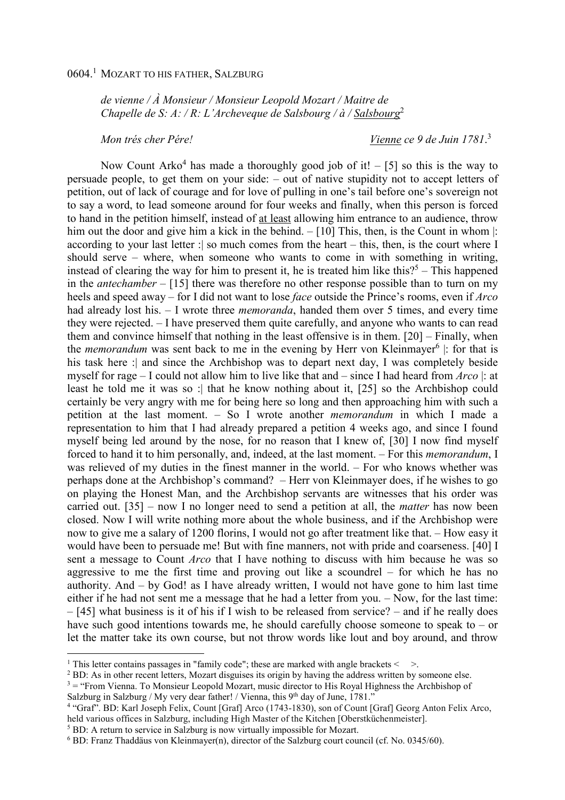*de vienne / À Monsieur / Monsieur Leopold Mozart / Maitre de Chapelle de S: A: / R: L'Archeveque de Salsbourg / à / Salsbourg*<sup>2</sup>

*Mon trés cher Pére! Vienne ce 9 de Juin 1781*. 3

Now Count Arko<sup>4</sup> has made a thoroughly good job of it!  $-$  [5] so this is the way to persuade people, to get them on your side: – out of native stupidity not to accept letters of petition, out of lack of courage and for love of pulling in one's tail before one's sovereign not to say a word, to lead someone around for four weeks and finally, when this person is forced to hand in the petition himself, instead of at least allowing him entrance to an audience, throw him out the door and give him a kick in the behind. – [10] This, then, is the Count in whom |: according to your last letter : so much comes from the heart – this, then, is the court where I should serve – where, when someone who wants to come in with something in writing, instead of clearing the way for him to present it, he is treated him like this?<sup>5</sup> – This happened in the *antechamber* – [15] there was therefore no other response possible than to turn on my heels and speed away – for I did not want to lose *face* outside the Prince's rooms, even if *Arco* had already lost his. – I wrote three *memoranda*, handed them over 5 times, and every time they were rejected. – I have preserved them quite carefully, and anyone who wants to can read them and convince himself that nothing in the least offensive is in them. [20] – Finally, when the *memorandum* was sent back to me in the evening by Herr von Kleinmayer<sup>6</sup> |: for that is his task here :| and since the Archbishop was to depart next day, I was completely beside myself for rage – I could not allow him to live like that and – since I had heard from *Arco* |: at least he told me it was so :| that he know nothing about it, [25] so the Archbishop could certainly be very angry with me for being here so long and then approaching him with such a petition at the last moment. – So I wrote another *memorandum* in which I made a representation to him that I had already prepared a petition 4 weeks ago, and since I found myself being led around by the nose, for no reason that I knew of, [30] I now find myself forced to hand it to him personally, and, indeed, at the last moment. – For this *memorandum*, I was relieved of my duties in the finest manner in the world. – For who knows whether was perhaps done at the Archbishop's command? – Herr von Kleinmayer does, if he wishes to go on playing the Honest Man, and the Archbishop servants are witnesses that his order was carried out. [35] – now I no longer need to send a petition at all, the *matter* has now been closed. Now I will write nothing more about the whole business, and if the Archbishop were now to give me a salary of 1200 florins, I would not go after treatment like that. – How easy it would have been to persuade me! But with fine manners, not with pride and coarseness. [40] I sent a message to Count *Arco* that I have nothing to discuss with him because he was so aggressive to me the first time and proving out like a scoundrel – for which he has no authority. And  $-$  by God! as I have already written, I would not have gone to him last time either if he had not sent me a message that he had a letter from you. – Now, for the last time: – [45] what business is it of his if I wish to be released from service? – and if he really does have such good intentions towards me, he should carefully choose someone to speak to – or let the matter take its own course, but not throw words like lout and boy around, and throw l

<sup>&</sup>lt;sup>1</sup> This letter contains passages in "family code"; these are marked with angle brackets  $\leq$  >.

<sup>&</sup>lt;sup>2</sup> BD: As in other recent letters, Mozart disguises its origin by having the address written by someone else.

<sup>&</sup>lt;sup>3</sup> = "From Vienna. To Monsieur Leopold Mozart, music director to His Royal Highness the Archbishop of Salzburg in Salzburg / My very dear father! / Vienna, this 9<sup>th</sup> day of June, 1781."

<sup>&</sup>lt;sup>4</sup> "Graf". BD: Karl Joseph Felix, Count [Graf] Arco (1743-1830), son of Count [Graf] Georg Anton Felix Arco, held various offices in Salzburg, including High Master of the Kitchen [Oberstküchenmeister].

<sup>&</sup>lt;sup>5</sup> BD: A return to service in Salzburg is now virtually impossible for Mozart.

<sup>6</sup> BD: Franz Thaddäus von Kleinmayer(n), director of the Salzburg court council (cf. No. 0345/60).